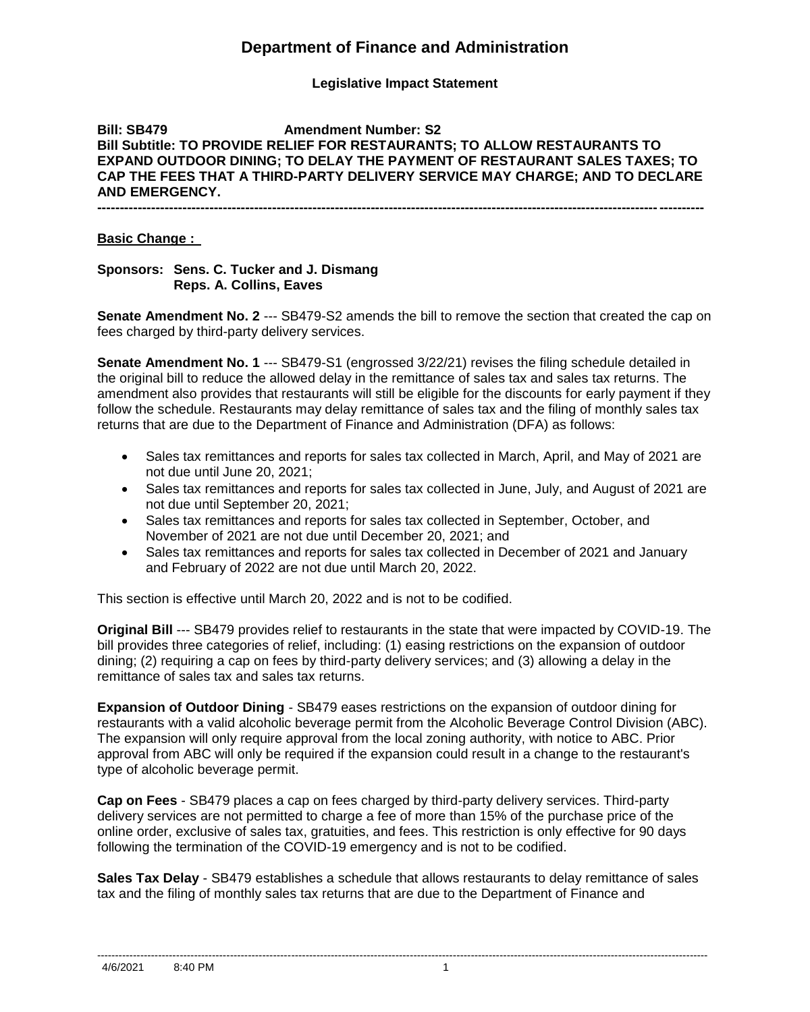## **Department of Finance and Administration**

### **Legislative Impact Statement**

### **Bill: SB479 Amendment Number: S2 Bill Subtitle: TO PROVIDE RELIEF FOR RESTAURANTS; TO ALLOW RESTAURANTS TO EXPAND OUTDOOR DINING; TO DELAY THE PAYMENT OF RESTAURANT SALES TAXES; TO CAP THE FEES THAT A THIRD-PARTY DELIVERY SERVICE MAY CHARGE; AND TO DECLARE AND EMERGENCY. ---------------------------------------------------------------------------------------------------------------------------------------**

#### **Basic Change :**

#### **Sponsors: Sens. C. Tucker and J. Dismang Reps. A. Collins, Eaves**

**Senate Amendment No. 2** --- SB479-S2 amends the bill to remove the section that created the cap on fees charged by third-party delivery services.

**Senate Amendment No. 1** --- SB479-S1 (engrossed 3/22/21) revises the filing schedule detailed in the original bill to reduce the allowed delay in the remittance of sales tax and sales tax returns. The amendment also provides that restaurants will still be eligible for the discounts for early payment if they follow the schedule. Restaurants may delay remittance of sales tax and the filing of monthly sales tax returns that are due to the Department of Finance and Administration (DFA) as follows:

- Sales tax remittances and reports for sales tax collected in March, April, and May of 2021 are not due until June 20, 2021;
- Sales tax remittances and reports for sales tax collected in June, July, and August of 2021 are not due until September 20, 2021;
- Sales tax remittances and reports for sales tax collected in September, October, and November of 2021 are not due until December 20, 2021; and
- Sales tax remittances and reports for sales tax collected in December of 2021 and January and February of 2022 are not due until March 20, 2022.

This section is effective until March 20, 2022 and is not to be codified.

**Original Bill** --- SB479 provides relief to restaurants in the state that were impacted by COVID-19. The bill provides three categories of relief, including: (1) easing restrictions on the expansion of outdoor dining; (2) requiring a cap on fees by third-party delivery services; and (3) allowing a delay in the remittance of sales tax and sales tax returns.

**Expansion of Outdoor Dining** - SB479 eases restrictions on the expansion of outdoor dining for restaurants with a valid alcoholic beverage permit from the Alcoholic Beverage Control Division (ABC). The expansion will only require approval from the local zoning authority, with notice to ABC. Prior approval from ABC will only be required if the expansion could result in a change to the restaurant's type of alcoholic beverage permit.

**Cap on Fees** - SB479 places a cap on fees charged by third-party delivery services. Third-party delivery services are not permitted to charge a fee of more than 15% of the purchase price of the online order, exclusive of sales tax, gratuities, and fees. This restriction is only effective for 90 days following the termination of the COVID-19 emergency and is not to be codified.

**Sales Tax Delay** - SB479 establishes a schedule that allows restaurants to delay remittance of sales tax and the filing of monthly sales tax returns that are due to the Department of Finance and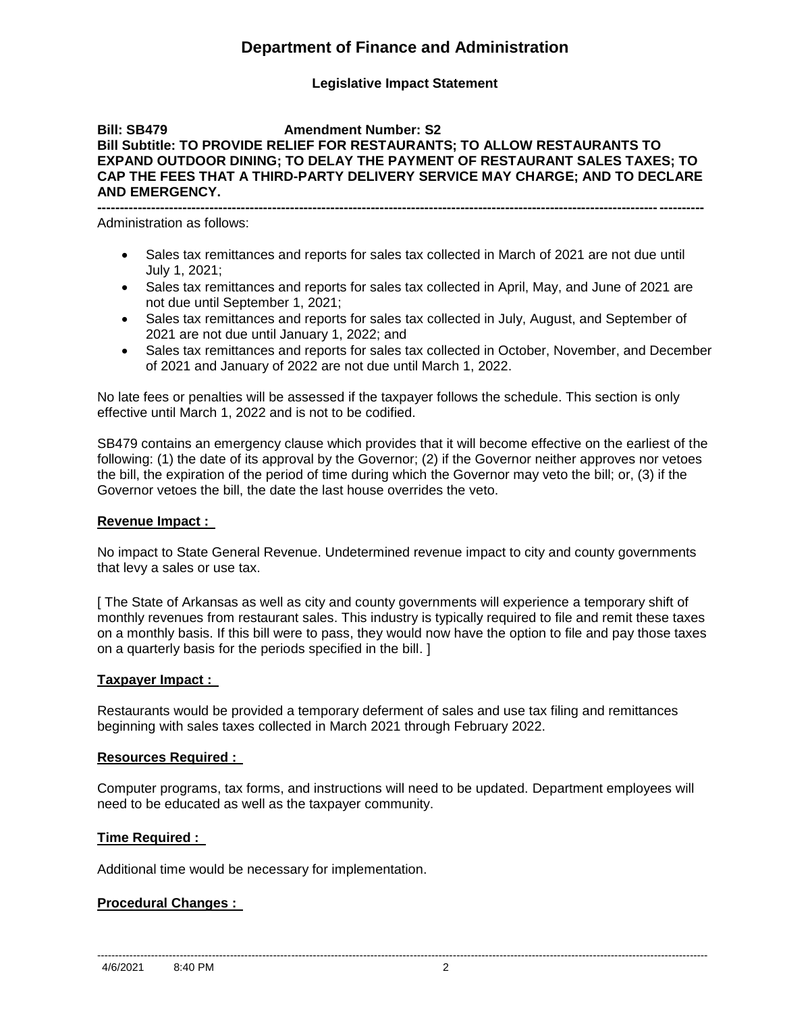## **Department of Finance and Administration**

### **Legislative Impact Statement**

#### **Bill: SB479 Amendment Number: S2 Bill Subtitle: TO PROVIDE RELIEF FOR RESTAURANTS; TO ALLOW RESTAURANTS TO EXPAND OUTDOOR DINING; TO DELAY THE PAYMENT OF RESTAURANT SALES TAXES; TO CAP THE FEES THAT A THIRD-PARTY DELIVERY SERVICE MAY CHARGE; AND TO DECLARE AND EMERGENCY. ---------------------------------------------------------------------------------------------------------------------------------------**

Administration as follows:

- Sales tax remittances and reports for sales tax collected in March of 2021 are not due until July 1, 2021;
- Sales tax remittances and reports for sales tax collected in April, May, and June of 2021 are not due until September 1, 2021;
- Sales tax remittances and reports for sales tax collected in July, August, and September of 2021 are not due until January 1, 2022; and
- Sales tax remittances and reports for sales tax collected in October, November, and December of 2021 and January of 2022 are not due until March 1, 2022.

No late fees or penalties will be assessed if the taxpayer follows the schedule. This section is only effective until March 1, 2022 and is not to be codified.

SB479 contains an emergency clause which provides that it will become effective on the earliest of the following: (1) the date of its approval by the Governor; (2) if the Governor neither approves nor vetoes the bill, the expiration of the period of time during which the Governor may veto the bill; or, (3) if the Governor vetoes the bill, the date the last house overrides the veto.

### **Revenue Impact :**

No impact to State General Revenue. Undetermined revenue impact to city and county governments that levy a sales or use tax.

[ The State of Arkansas as well as city and county governments will experience a temporary shift of monthly revenues from restaurant sales. This industry is typically required to file and remit these taxes on a monthly basis. If this bill were to pass, they would now have the option to file and pay those taxes on a quarterly basis for the periods specified in the bill. ]

### **Taxpayer Impact :**

Restaurants would be provided a temporary deferment of sales and use tax filing and remittances beginning with sales taxes collected in March 2021 through February 2022.

### **Resources Required :**

Computer programs, tax forms, and instructions will need to be updated. Department employees will need to be educated as well as the taxpayer community.

--------------------------------------------------------------------------------------------------------------------------------------------------------------------------

### **Time Required :**

Additional time would be necessary for implementation.

### **Procedural Changes :**